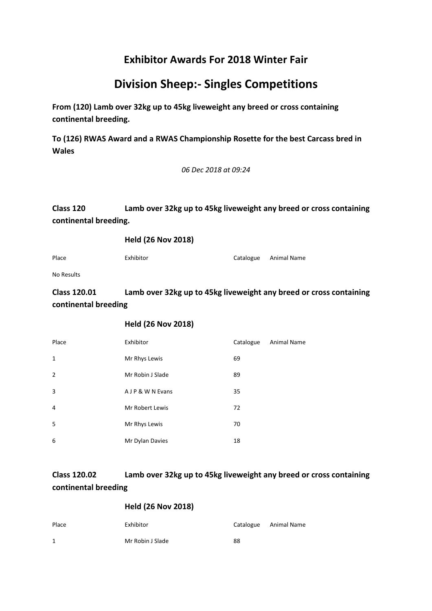# **Division Sheep:- Singles Competitions**

**From (120) Lamb over 32kg up to 45kg liveweight any breed or cross containing continental breeding.**

**To (126) RWAS Award and a RWAS Championship Rosette for the best Carcass bred in Wales**

*06 Dec 2018 at 09:24*

# **Class 120 Lamb over 32kg up to 45kg liveweight any breed or cross containing continental breeding.**

**Held (26 Nov 2018)**

Place Exhibitor Exhibitor Catalogue Animal Name

No Results

**Class 120.01 Lamb over 32kg up to 45kg liveweight any breed or cross containing continental breeding**

### **Held (26 Nov 2018)**

| Place          | Exhibitor        | Catalogue | <b>Animal Name</b> |
|----------------|------------------|-----------|--------------------|
| $\mathbf{1}$   | Mr Rhys Lewis    | 69        |                    |
| $\overline{2}$ | Mr Robin J Slade | 89        |                    |
| 3              | AJP & W N Evans  | 35        |                    |
| $\overline{4}$ | Mr Robert Lewis  | 72        |                    |
| 5              | Mr Rhys Lewis    | 70        |                    |
| 6              | Mr Dylan Davies  | 18        |                    |

# **Class 120.02 Lamb over 32kg up to 45kg liveweight any breed or cross containing continental breeding**

| Place | Exhibitor        |    | Catalogue Animal Name |
|-------|------------------|----|-----------------------|
| 1     | Mr Robin J Slade | 88 |                       |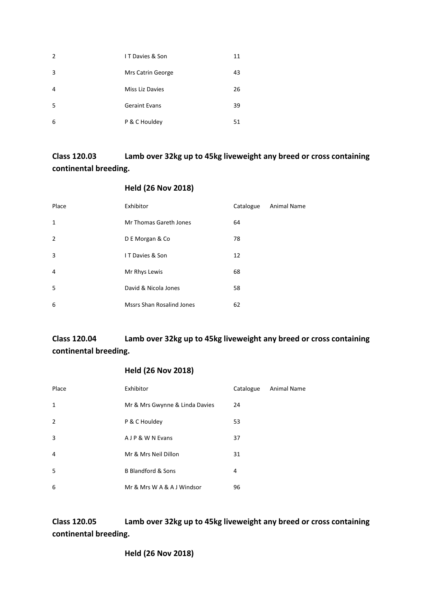| 2              | IT Davies & Son      | 11 |
|----------------|----------------------|----|
| 3              | Mrs Catrin George    | 43 |
| $\overline{4}$ | Miss Liz Davies      | 26 |
| -5             | <b>Geraint Evans</b> | 39 |
| 6              | P & C Houldey        | 51 |

# **Class 120.03 Lamb over 32kg up to 45kg liveweight any breed or cross containing continental breeding.**

#### **Held (26 Nov 2018)**

| Place          | Exhibitor                        | Catalogue | Animal Name |
|----------------|----------------------------------|-----------|-------------|
| $\mathbf{1}$   | Mr Thomas Gareth Jones           | 64        |             |
| $\overline{2}$ | D E Morgan & Co                  | 78        |             |
| 3              | IT Davies & Son                  | 12        |             |
| 4              | Mr Rhys Lewis                    | 68        |             |
| .5             | David & Nicola Jones             | 58        |             |
| 6              | <b>Mssrs Shan Rosalind Jones</b> | 62        |             |

# **Class 120.04 Lamb over 32kg up to 45kg liveweight any breed or cross containing continental breeding.**

# **Held (26 Nov 2018)**

| Place                    | Exhibitor                      | Catalogue | <b>Animal Name</b> |
|--------------------------|--------------------------------|-----------|--------------------|
| $\mathbf{1}$             | Mr & Mrs Gwynne & Linda Davies | 24        |                    |
| $\overline{\phantom{0}}$ | P & C Houldey                  | 53        |                    |
| 3                        | A J P & W N Evans              | 37        |                    |
| 4                        | Mr & Mrs Neil Dillon           | 31        |                    |
| .5                       | <b>B Blandford &amp; Sons</b>  | 4         |                    |
| 6                        | Mr & Mrs W A & A J Windsor     | 96        |                    |

**Class 120.05 Lamb over 32kg up to 45kg liveweight any breed or cross containing continental breeding.**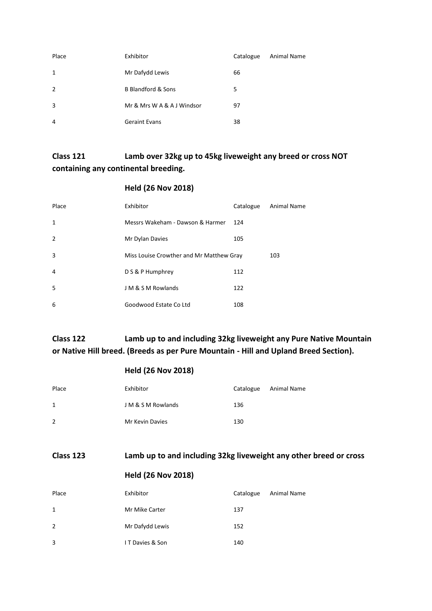| Place          | Exhibitor                     | Catalogue | Animal Name |
|----------------|-------------------------------|-----------|-------------|
| 1              | Mr Dafydd Lewis               | 66        |             |
| $\overline{2}$ | <b>B Blandford &amp; Sons</b> | 5         |             |
| 3              | Mr & Mrs W A & A J Windsor    | 97        |             |
| 4              | <b>Geraint Evans</b>          | 38        |             |

# **Class 121 Lamb over 32kg up to 45kg liveweight any breed or cross NOT containing any continental breeding.**

# **Held (26 Nov 2018)**

| Place          | Exhibitor                                | Catalogue | <b>Animal Name</b> |
|----------------|------------------------------------------|-----------|--------------------|
| $\mathbf{1}$   | Messrs Wakeham - Dawson & Harmer         | 124       |                    |
| $\overline{2}$ | Mr Dylan Davies                          | 105       |                    |
| 3              | Miss Louise Crowther and Mr Matthew Gray |           | 103                |
| 4              | D S & P Humphrey                         | 112       |                    |
| -5             | J M & S M Rowlands                       | 122       |                    |
| 6              | Goodwood Estate Co Ltd                   | 108       |                    |

**Class 122 Lamb up to and including 32kg liveweight any Pure Native Mountain or Native Hill breed. (Breeds as per Pure Mountain - Hill and Upland Breed Section).**

|                | <b>Held (26 Nov 2018)</b>                                         |           |             |
|----------------|-------------------------------------------------------------------|-----------|-------------|
| Place          | Exhibitor                                                         | Catalogue | Animal Name |
| $\mathbf{1}$   | J M & S M Rowlands                                                | 136       |             |
| $\overline{2}$ | Mr Kevin Davies                                                   | 130       |             |
|                |                                                                   |           |             |
| Class 123      | Lamb up to and including 32kg liveweight any other breed or cross |           |             |
|                |                                                                   |           |             |
|                | <b>Held (26 Nov 2018)</b>                                         |           |             |
| Place          | Exhibitor                                                         | Catalogue | Animal Name |
| $\mathbf{1}$   | Mr Mike Carter                                                    | 137       |             |
| 2              | Mr Dafydd Lewis                                                   | 152       |             |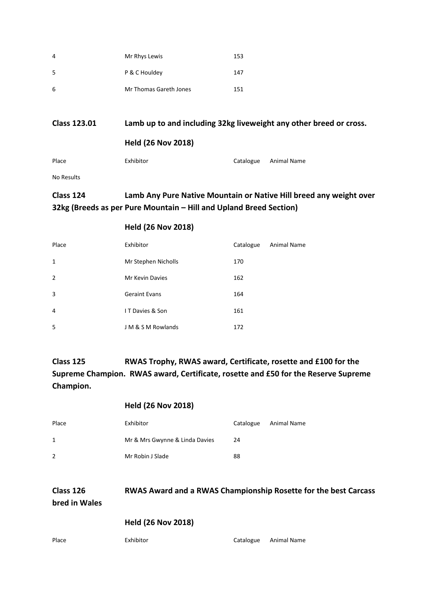| 4  | Mr Rhys Lewis          | 153 |
|----|------------------------|-----|
| -5 | P & C Houldey          | 147 |
| -6 | Mr Thomas Gareth Jones | 151 |

| <b>Class 123.01</b> | Lamb up to and including 32kg liveweight any other breed or cross.<br><b>Held (26 Nov 2018)</b> |           |             |
|---------------------|-------------------------------------------------------------------------------------------------|-----------|-------------|
|                     |                                                                                                 |           |             |
| Place               | Exhibitor                                                                                       | Catalogue | Animal Name |

#### No Results

# **Class 124 Lamb Any Pure Native Mountain or Native Hill breed any weight over 32kg (Breeds as per Pure Mountain – Hill and Upland Breed Section)**

#### **Held (26 Nov 2018)**

| Place          | Exhibitor            | Catalogue | <b>Animal Name</b> |
|----------------|----------------------|-----------|--------------------|
| $\mathbf{1}$   | Mr Stephen Nicholls  | 170       |                    |
| $\overline{2}$ | Mr Kevin Davies      | 162       |                    |
| 3              | <b>Geraint Evans</b> | 164       |                    |
| 4              | IT Davies & Son      | 161       |                    |
| 5              | J M & S M Rowlands   | 172       |                    |

**Class 125 RWAS Trophy, RWAS award, Certificate, rosette and £100 for the Supreme Champion. RWAS award, Certificate, rosette and £50 for the Reserve Supreme Champion.**

#### **Held (26 Nov 2018)**

| Place | Exhibitor                      | Catalogue | Animal Name |
|-------|--------------------------------|-----------|-------------|
| 1     | Mr & Mrs Gwynne & Linda Davies | 24        |             |
| 2     | Mr Robin J Slade               | 88        |             |
|       |                                |           |             |

**Class 126 RWAS Award and a RWAS Championship Rosette for the best Carcass bred in Wales**

**Held (26 Nov 2018)**

Place Exhibitor Exhibitor Catalogue Animal Name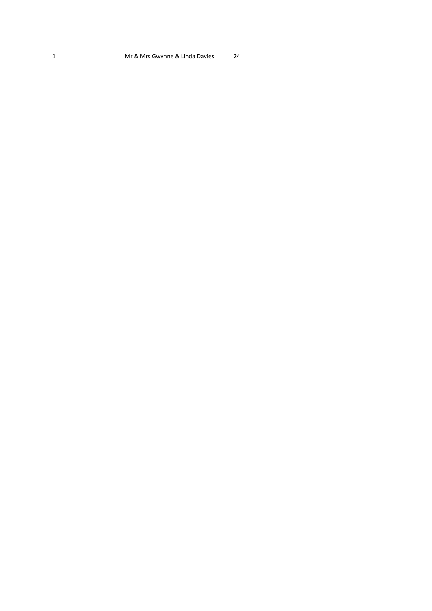#### 1 Mr & Mrs Gwynne & Linda Davies 24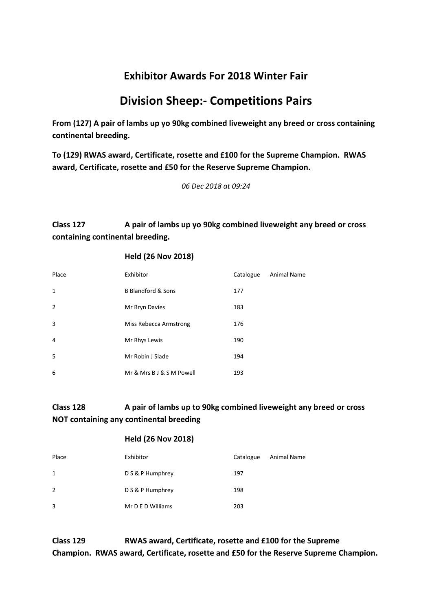# **Division Sheep:- Competitions Pairs**

**From (127) A pair of lambs up yo 90kg combined liveweight any breed or cross containing continental breeding.**

**To (129) RWAS award, Certificate, rosette and £100 for the Supreme Champion. RWAS award, Certificate, rosette and £50 for the Reserve Supreme Champion.**

*06 Dec 2018 at 09:24*

# **Class 127 A pair of lambs up yo 90kg combined liveweight any breed or cross containing continental breeding.**

#### **Held (26 Nov 2018)**

| Place          | Exhibitor                     | Catalogue | <b>Animal Name</b> |
|----------------|-------------------------------|-----------|--------------------|
| $\mathbf{1}$   | <b>B Blandford &amp; Sons</b> | 177       |                    |
| $\overline{2}$ | Mr Bryn Davies                | 183       |                    |
| 3              | Miss Rebecca Armstrong        | 176       |                    |
| $\overline{4}$ | Mr Rhys Lewis                 | 190       |                    |
| 5              | Mr Robin J Slade              | 194       |                    |
| 6              | Mr & Mrs B J & S M Powell     | 193       |                    |

# **Class 128 A pair of lambs up to 90kg combined liveweight any breed or cross NOT containing any continental breeding**

#### **Held (26 Nov 2018)**

| Place          | Exhibitor         | Catalogue | Animal Name |
|----------------|-------------------|-----------|-------------|
| $\mathbf{1}$   | D S & P Humphrey  | 197       |             |
| $\overline{2}$ | D S & P Humphrey  | 198       |             |
| 3              | Mr D E D Williams | 203       |             |

**Class 129 RWAS award, Certificate, rosette and £100 for the Supreme Champion. RWAS award, Certificate, rosette and £50 for the Reserve Supreme Champion.**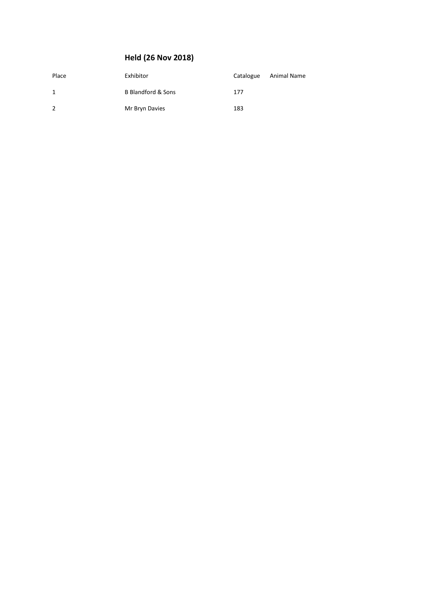| Place        | Exhibitor          | Catalogue | Animal Name |
|--------------|--------------------|-----------|-------------|
| $\mathbf{1}$ | B Blandford & Sons | 177       |             |
| 2            | Mr Bryn Davies     | 183       |             |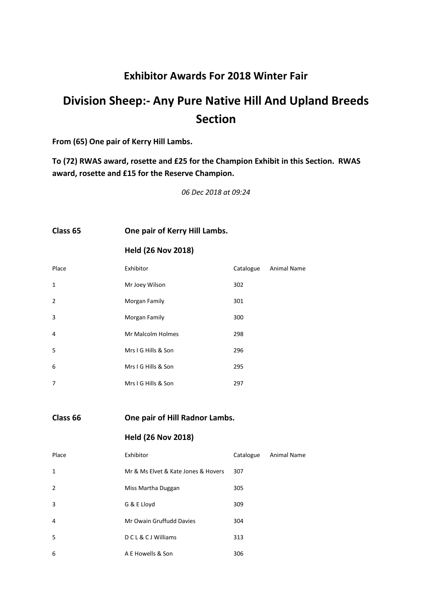# **Division Sheep:- Any Pure Native Hill And Upland Breeds Section**

#### **From (65) One pair of Kerry Hill Lambs.**

**To (72) RWAS award, rosette and £25 for the Champion Exhibit in this Section. RWAS award, rosette and £15 for the Reserve Champion.**

*06 Dec 2018 at 09:24*

#### **Class 65 One pair of Kerry Hill Lambs.**

# **Held (26 Nov 2018)**

| Place          | Exhibitor           | Catalogue | <b>Animal Name</b> |
|----------------|---------------------|-----------|--------------------|
| $\mathbf{1}$   | Mr Joey Wilson      | 302       |                    |
| $\overline{2}$ | Morgan Family       | 301       |                    |
| 3              | Morgan Family       | 300       |                    |
| $\overline{4}$ | Mr Malcolm Holmes   | 298       |                    |
| 5              | Mrs I G Hills & Son | 296       |                    |
| 6              | Mrs I G Hills & Son | 295       |                    |
| $\overline{7}$ | Mrs I G Hills & Son | 297       |                    |

**Class 66 One pair of Hill Radnor Lambs.**

| Place          | Exhibitor                           | Catalogue | Animal Name |
|----------------|-------------------------------------|-----------|-------------|
| 1              | Mr & Ms Elvet & Kate Jones & Hovers | 307       |             |
| $\overline{2}$ | Miss Martha Duggan                  | 305       |             |
| 3              | G & E Lloyd                         | 309       |             |
| $\overline{4}$ | Mr Owain Gruffudd Davies            | 304       |             |
| 5              | <b>DCL&amp;CJWilliams</b>           | 313       |             |
| 6              | A E Howells & Son                   | 306       |             |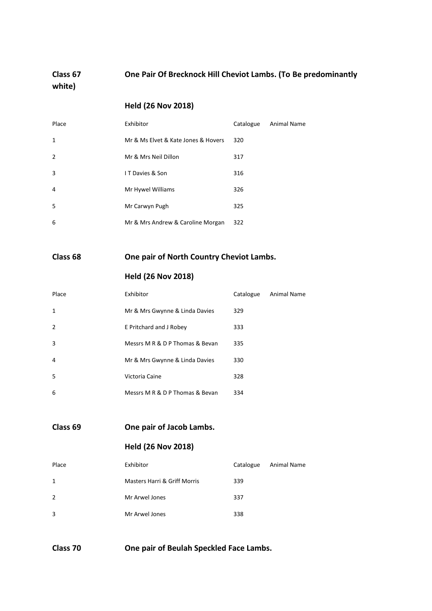**Class 67 One Pair Of Brecknock Hill Cheviot Lambs. (To Be predominantly white)**

# **Held (26 Nov 2018)**

| Place          | Exhibitor                           | Catalogue | Animal Name |
|----------------|-------------------------------------|-----------|-------------|
| $\mathbf{1}$   | Mr & Ms Elvet & Kate Jones & Hovers | 320       |             |
| $\overline{2}$ | Mr & Mrs Neil Dillon                | 317       |             |
| 3              | IT Davies & Son                     | 316       |             |
| 4              | Mr Hywel Williams                   | 326       |             |
| 5              | Mr Carwyn Pugh                      | 325       |             |
| 6              | Mr & Mrs Andrew & Caroline Morgan   | 322       |             |

**Class 68 One pair of North Country Cheviot Lambs.**

# **Held (26 Nov 2018)**

| Place          | Exhibitor                       | Catalogue | <b>Animal Name</b> |
|----------------|---------------------------------|-----------|--------------------|
| $\mathbf{1}$   | Mr & Mrs Gwynne & Linda Davies  | 329       |                    |
| $\overline{2}$ | E Pritchard and J Robey         | 333       |                    |
| 3              | Messrs M R & D P Thomas & Bevan | 335       |                    |
| 4              | Mr & Mrs Gwynne & Linda Davies  | 330       |                    |
| 5              | Victoria Caine                  | 328       |                    |
| 6              | Messrs M R & D P Thomas & Bevan | 334       |                    |

#### **Class 69 One pair of Jacob Lambs.**

# **Held (26 Nov 2018)**

| Place | Exhibitor                    | Catalogue | Animal Name |
|-------|------------------------------|-----------|-------------|
| 1     | Masters Harri & Griff Morris | 339       |             |
| 2     | Mr Arwel Jones               | 337       |             |
| 3     | Mr Arwel Jones               | 338       |             |

**Class 70 One pair of Beulah Speckled Face Lambs.**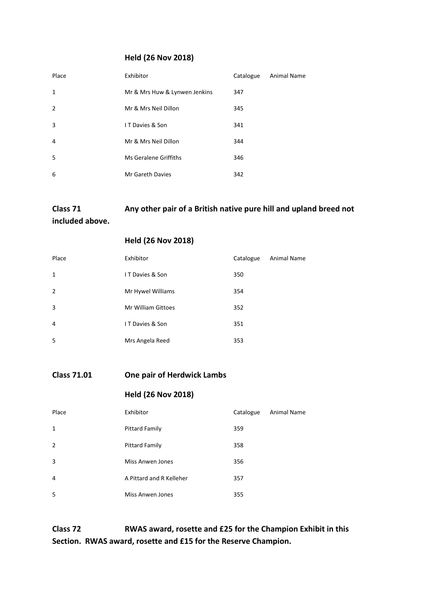#### **Held (26 Nov 2018)**

| Place          | Exhibitor                     | Catalogue | Animal Name |
|----------------|-------------------------------|-----------|-------------|
| 1              | Mr & Mrs Huw & Lynwen Jenkins | 347       |             |
| $\overline{2}$ | Mr & Mrs Neil Dillon          | 345       |             |
| 3              | <b>IT Davies &amp; Son</b>    | 341       |             |
| 4              | Mr & Mrs Neil Dillon          | 344       |             |
| 5              | <b>Ms Geralene Griffiths</b>  | 346       |             |
| 6              | Mr Gareth Davies              | 342       |             |

# **Class 71 Any other pair of a British native pure hill and upland breed not**

**included above.**

#### **Held (26 Nov 2018)**

| Place          | Exhibitor                  | Catalogue | Animal Name |
|----------------|----------------------------|-----------|-------------|
| $\mathbf{1}$   | IT Davies & Son            | 350       |             |
| $\overline{2}$ | Mr Hywel Williams          | 354       |             |
| 3              | Mr William Gittoes         | 352       |             |
| 4              | <b>IT Davies &amp; Son</b> | 351       |             |
| 5              | Mrs Angela Reed            | 353       |             |

# **Class 71.01 One pair of Herdwick Lambs**

# **Held (26 Nov 2018)**

| Place          | Exhibitor                | Catalogue | Animal Name |
|----------------|--------------------------|-----------|-------------|
| $\mathbf{1}$   | <b>Pittard Family</b>    | 359       |             |
| $\overline{2}$ | <b>Pittard Family</b>    | 358       |             |
| 3              | Miss Anwen Jones         | 356       |             |
| $\overline{4}$ | A Pittard and R Kelleher | 357       |             |
| 5              | Miss Anwen Jones         | 355       |             |

**Class 72 RWAS award, rosette and £25 for the Champion Exhibit in this Section. RWAS award, rosette and £15 for the Reserve Champion.**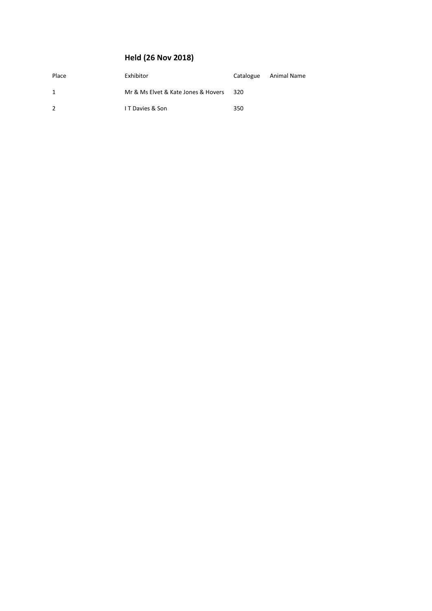| Place | Exhibitor                           | Catalogue | Animal Name |
|-------|-------------------------------------|-----------|-------------|
| 1     | Mr & Ms Elvet & Kate Jones & Hovers | - 320     |             |
| 2     | <b>IT Davies &amp; Son</b>          | 350       |             |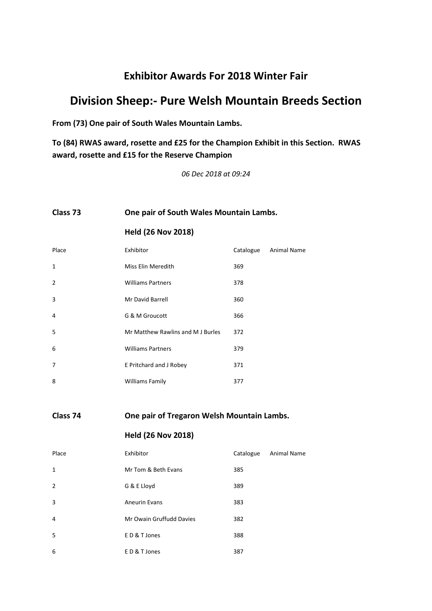# **Division Sheep:- Pure Welsh Mountain Breeds Section**

**From (73) One pair of South Wales Mountain Lambs.**

**To (84) RWAS award, rosette and £25 for the Champion Exhibit in this Section. RWAS award, rosette and £15 for the Reserve Champion**

*06 Dec 2018 at 09:24*

# **Class 73 One pair of South Wales Mountain Lambs.**

**Held (26 Nov 2018)**

| Place          | Exhibitor                         | Catalogue | Animal Name |
|----------------|-----------------------------------|-----------|-------------|
| $\mathbf{1}$   | Miss Elin Meredith                | 369       |             |
| $\overline{2}$ | <b>Williams Partners</b>          | 378       |             |
| 3              | Mr David Barrell                  | 360       |             |
| 4              | G & M Groucott                    | 366       |             |
| 5              | Mr Matthew Rawlins and M J Burles | 372       |             |
| 6              | <b>Williams Partners</b>          | 379       |             |
| 7              | E Pritchard and J Robey           | 371       |             |
| 8              | <b>Williams Family</b>            | 377       |             |

**Class 74 One pair of Tregaron Welsh Mountain Lambs.**

| Place          | Exhibitor                | Catalogue | Animal Name |
|----------------|--------------------------|-----------|-------------|
| 1              | Mr Tom & Beth Evans      | 385       |             |
| $\overline{2}$ | G & E Lloyd              | 389       |             |
| 3              | <b>Aneurin Evans</b>     | 383       |             |
| 4              | Mr Owain Gruffudd Davies | 382       |             |
| 5              | ED&T Jones               | 388       |             |
| 6              | ED & T Jones             | 387       |             |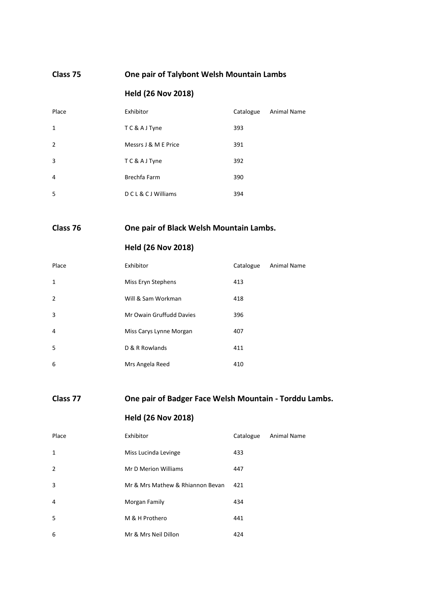#### **Class 75 One pair of Talybont Welsh Mountain Lambs**

# **Held (26 Nov 2018)**

| Place          | Exhibitor                 | Catalogue | Animal Name |
|----------------|---------------------------|-----------|-------------|
| 1              | TC&AJTyne                 | 393       |             |
| $\overline{2}$ | Messrs J & M E Price      | 391       |             |
| 3              | TC&AJTyne                 | 392       |             |
| 4              | Brechfa Farm              | 390       |             |
| 5              | <b>DCL&amp;CJWilliams</b> | 394       |             |

# **Class 76 One pair of Black Welsh Mountain Lambs.**

# **Held (26 Nov 2018)**

| Place          | Exhibitor                | Catalogue | <b>Animal Name</b> |
|----------------|--------------------------|-----------|--------------------|
| $\mathbf{1}$   | Miss Eryn Stephens       | 413       |                    |
| $\overline{2}$ | Will & Sam Workman       | 418       |                    |
| 3              | Mr Owain Gruffudd Davies | 396       |                    |
| 4              | Miss Carys Lynne Morgan  | 407       |                    |
| 5              | D & R Rowlands           | 411       |                    |
| 6              | Mrs Angela Reed          | 410       |                    |

# **Class 77 One pair of Badger Face Welsh Mountain - Torddu Lambs.**

| Place          | Exhibitor                        | Catalogue | Animal Name |
|----------------|----------------------------------|-----------|-------------|
| $\mathbf{1}$   | Miss Lucinda Levinge             | 433       |             |
| $\overline{2}$ | Mr D Merion Williams             | 447       |             |
| 3              | Mr & Mrs Mathew & Rhiannon Bevan | 421       |             |
| 4              | Morgan Family                    | 434       |             |
| 5              | M & H Prothero                   | 441       |             |
| 6              | Mr & Mrs Neil Dillon             | 424       |             |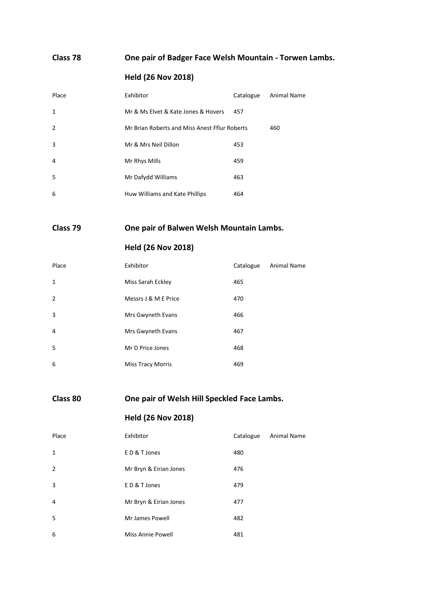# **Class 78 One pair of Badger Face Welsh Mountain - Torwen Lambs.**

# **Held (26 Nov 2018)**

| Place          | Exhibitor                                     | Catalogue | Animal Name |
|----------------|-----------------------------------------------|-----------|-------------|
| $\mathbf{1}$   | Mr & Ms Elvet & Kate Jones & Hovers           | 457       |             |
| $\overline{2}$ | Mr Brian Roberts and Miss Anest Fflur Roberts |           | 460         |
| 3              | Mr & Mrs Neil Dillon                          | 453       |             |
| 4              | Mr Rhys Mills                                 | 459       |             |
| 5              | Mr Dafydd Williams                            | 463       |             |
| 6              | Huw Williams and Kate Phillips                | 464       |             |

# **Class 79 One pair of Balwen Welsh Mountain Lambs.**

# **Held (26 Nov 2018)**

| Place          | Exhibitor                | Catalogue | <b>Animal Name</b> |
|----------------|--------------------------|-----------|--------------------|
| $\mathbf{1}$   | Miss Sarah Eckley        | 465       |                    |
| $\overline{2}$ | Messrs J & M E Price     | 470       |                    |
| 3              | Mrs Gwyneth Evans        | 466       |                    |
| 4              | Mrs Gwyneth Evans        | 467       |                    |
| -5             | Mr D Price Jones         | 468       |                    |
| 6              | <b>Miss Tracy Morris</b> | 469       |                    |

# **Class 80 One pair of Welsh Hill Speckled Face Lambs.**

| Place          | Exhibitor                | Catalogue | Animal Name |
|----------------|--------------------------|-----------|-------------|
| $\mathbf{1}$   | ED&T Jones               | 480       |             |
| $\overline{2}$ | Mr Bryn & Eirian Jones   | 476       |             |
| 3              | ED&T Jones               | 479       |             |
| 4              | Mr Bryn & Eirian Jones   | 477       |             |
| 5              | Mr James Powell          | 482       |             |
| 6              | <b>Miss Annie Powell</b> | 481       |             |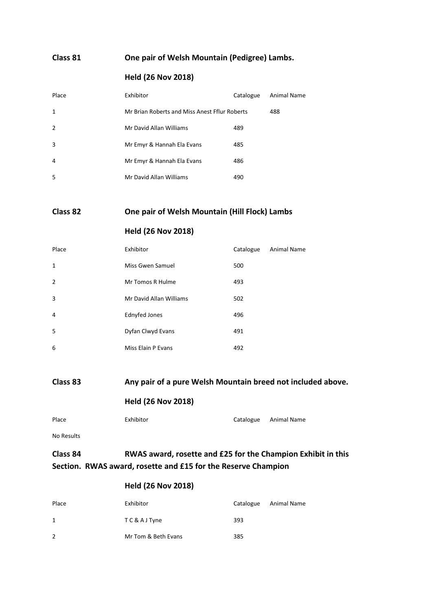#### **Class 81 One pair of Welsh Mountain (Pedigree) Lambs.**

# **Held (26 Nov 2018)**

| Place | Exhibitor                                     | Catalogue | Animal Name |
|-------|-----------------------------------------------|-----------|-------------|
| 1     | Mr Brian Roberts and Miss Anest Fflur Roberts |           | 488         |
| 2     | Mr David Allan Williams                       | 489       |             |
| 3     | Mr Emyr & Hannah Ela Evans                    | 485       |             |
| 4     | Mr Emyr & Hannah Ela Evans                    | 486       |             |
| 5     | Mr David Allan Williams                       | 490       |             |

#### **Class 82 One pair of Welsh Mountain (Hill Flock) Lambs**

#### **Held (26 Nov 2018)**

| Place          | Exhibitor               | Catalogue | <b>Animal Name</b> |
|----------------|-------------------------|-----------|--------------------|
| 1              | Miss Gwen Samuel        | 500       |                    |
| $\overline{2}$ | Mr Tomos R Hulme        | 493       |                    |
| 3              | Mr David Allan Williams | 502       |                    |
| 4              | <b>Ednyfed Jones</b>    | 496       |                    |
| 5              | Dyfan Clwyd Evans       | 491       |                    |
| 6              | Miss Elain P Evans      | 492       |                    |

#### **Class 83 Any pair of a pure Welsh Mountain breed not included above.**

#### **Held (26 Nov 2018)**

| Place | Exhibitor | Catalogue Animal Name |
|-------|-----------|-----------------------|

No Results

# **Class 84 RWAS award, rosette and £25 for the Champion Exhibit in this Section. RWAS award, rosette and £15 for the Reserve Champion**

| Place | Exhibitor           | Catalogue | Animal Name |
|-------|---------------------|-----------|-------------|
| 1     | TC&AJTyne           | 393       |             |
| 2     | Mr Tom & Beth Evans | 385       |             |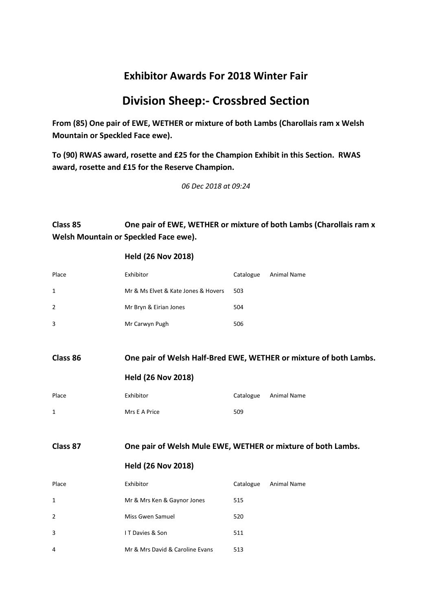# **Division Sheep:- Crossbred Section**

**From (85) One pair of EWE, WETHER or mixture of both Lambs (Charollais ram x Welsh Mountain or Speckled Face ewe).**

**To (90) RWAS award, rosette and £25 for the Champion Exhibit in this Section. RWAS award, rosette and £15 for the Reserve Champion.**

*06 Dec 2018 at 09:24*

# **Class 85 One pair of EWE, WETHER or mixture of both Lambs (Charollais ram x Welsh Mountain or Speckled Face ewe).**

| Place          | Exhibitor                                                    | Catalogue | Animal Name                                                       |
|----------------|--------------------------------------------------------------|-----------|-------------------------------------------------------------------|
| $\mathbf{1}$   | Mr & Ms Elvet & Kate Jones & Hovers                          | 503       |                                                                   |
| $\overline{2}$ | Mr Bryn & Eirian Jones                                       | 504       |                                                                   |
| 3              | Mr Carwyn Pugh                                               | 506       |                                                                   |
|                |                                                              |           |                                                                   |
| Class 86       |                                                              |           | One pair of Welsh Half-Bred EWE, WETHER or mixture of both Lambs. |
|                | <b>Held (26 Nov 2018)</b>                                    |           |                                                                   |
| Place          | Exhibitor                                                    | Catalogue | <b>Animal Name</b>                                                |
| 1              | Mrs E A Price                                                | 509       |                                                                   |
|                |                                                              |           |                                                                   |
| Class 87       | One pair of Welsh Mule EWE, WETHER or mixture of both Lambs. |           |                                                                   |
|                | <b>Held (26 Nov 2018)</b>                                    |           |                                                                   |
| Place          |                                                              |           |                                                                   |
|                | Exhibitor                                                    | Catalogue | <b>Animal Name</b>                                                |
| 1              | Mr & Mrs Ken & Gaynor Jones                                  | 515       |                                                                   |
| 2              | Miss Gwen Samuel                                             | 520       |                                                                   |
| 3              | IT Davies & Son                                              | 511       |                                                                   |
| 4              | Mr & Mrs David & Caroline Evans                              | 513       |                                                                   |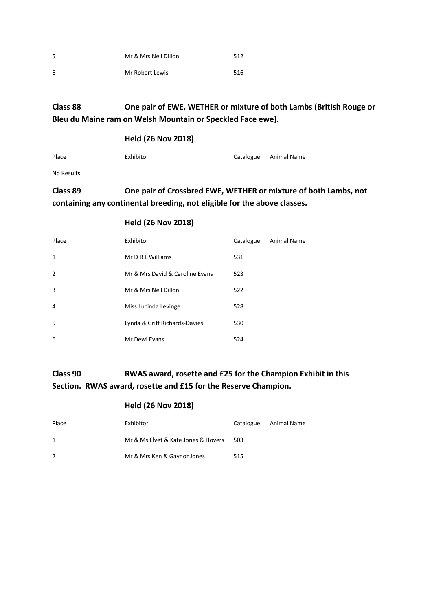| -5 | Mr & Mrs Neil Dillon | 512 |
|----|----------------------|-----|
| 6  | Mr Robert Lewis      | 516 |

# **Class 88 One pair of EWE, WETHER or mixture of both Lambs (British Rouge or Bleu du Maine ram on Welsh Mountain or Speckled Face ewe).**

#### **Held (26 Nov 2018)**

| Catalogue Animal Name | Place | Exhibitor |  |  |
|-----------------------|-------|-----------|--|--|
|-----------------------|-------|-----------|--|--|

No Results

# **Class 89 One pair of Crossbred EWE, WETHER or mixture of both Lambs, not containing any continental breeding, not eligible for the above classes.**

#### **Held (26 Nov 2018)**

| Place          | Exhibitor                       | Catalogue | <b>Animal Name</b> |
|----------------|---------------------------------|-----------|--------------------|
| $\mathbf{1}$   | Mr D R L Williams               | 531       |                    |
| $\overline{2}$ | Mr & Mrs David & Caroline Evans | 523       |                    |
| 3              | Mr & Mrs Neil Dillon            | 522       |                    |
| 4              | Miss Lucinda Levinge            | 528       |                    |
| 5              | Lynda & Griff Richards-Davies   | 530       |                    |
| 6              | Mr Dewi Evans                   | 524       |                    |

# **Class 90 RWAS award, rosette and £25 for the Champion Exhibit in this Section. RWAS award, rosette and £15 for the Reserve Champion.**

| Place         | Exhibitor                           | Catalogue | Animal Name |
|---------------|-------------------------------------|-----------|-------------|
| 1             | Mr & Ms Elvet & Kate Jones & Hovers | 503       |             |
| $\mathcal{P}$ | Mr & Mrs Ken & Gaynor Jones         | 515       |             |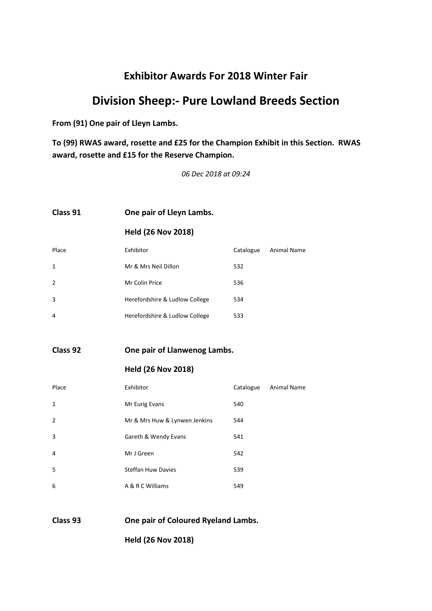# **Division Sheep:- Pure Lowland Breeds Section**

**From (91) One pair of Lleyn Lambs.**

**To (99) RWAS award, rosette and £25 for the Champion Exhibit in this Section. RWAS award, rosette and £15 for the Reserve Champion.**

*06 Dec 2018 at 09:24*

#### **Class 91 One pair of Lleyn Lambs.**

**Held (26 Nov 2018)**

| Place          | Exhibitor                      | Catalogue | Animal Name |
|----------------|--------------------------------|-----------|-------------|
| 1              | Mr & Mrs Neil Dillon           | 532       |             |
| $\overline{2}$ | Mr Colin Price                 | 536       |             |
| 3              | Herefordshire & Ludlow College | 534       |             |
| 4              | Herefordshire & Ludlow College | 533       |             |

**Class 92 One pair of Llanwenog Lambs.**

#### **Held (26 Nov 2018)**

| Place          | Exhibitor                     | Catalogue | Animal Name |
|----------------|-------------------------------|-----------|-------------|
| 1              | Mr Eurig Evans                | 540       |             |
| $\overline{2}$ | Mr & Mrs Huw & Lynwen Jenkins | 544       |             |
| 3              | Gareth & Wendy Evans          | 541       |             |
| 4              | Mr J Green                    | 542       |             |
| -5             | <b>Steffan Huw Davies</b>     | 539       |             |
| 6              | A & R C Williams              | 549       |             |

#### **Class 93 One pair of Coloured Ryeland Lambs.**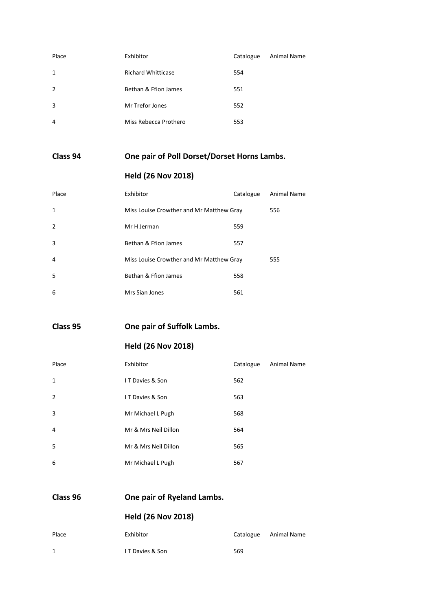| Place          | Exhibitor                 | Catalogue | <b>Animal Name</b> |
|----------------|---------------------------|-----------|--------------------|
| $\mathbf{1}$   | <b>Richard Whitticase</b> | 554       |                    |
| $\overline{2}$ | Bethan & Ffion James      | 551       |                    |
| 3              | Mr Trefor Jones           | 552       |                    |
| $\overline{4}$ | Miss Rebecca Prothero     | 553       |                    |

# **Class 94 One pair of Poll Dorset/Dorset Horns Lambs.**

# **Held (26 Nov 2018)**

| Place          | Exhibitor                                | Catalogue | <b>Animal Name</b> |
|----------------|------------------------------------------|-----------|--------------------|
| $\mathbf{1}$   | Miss Louise Crowther and Mr Matthew Gray |           | 556                |
| $\overline{2}$ | Mr H Jerman                              | 559       |                    |
| 3              | Bethan & Ffion James                     | 557       |                    |
| 4              | Miss Louise Crowther and Mr Matthew Gray |           | 555                |
| .5             | Bethan & Ffion James                     | 558       |                    |
| 6              | Mrs Sian Jones                           | 561       |                    |

**Class 95 One pair of Suffolk Lambs.**

**Held (26 Nov 2018)**

| Place          | Exhibitor                  | Catalogue | <b>Animal Name</b> |
|----------------|----------------------------|-----------|--------------------|
| 1              | IT Davies & Son            | 562       |                    |
| $\overline{2}$ | <b>IT Davies &amp; Son</b> | 563       |                    |
| 3              | Mr Michael L Pugh          | 568       |                    |
| 4              | Mr & Mrs Neil Dillon       | 564       |                    |
| 5              | Mr & Mrs Neil Dillon       | 565       |                    |
| 6              | Mr Michael L Pugh          | 567       |                    |

**Class 96 One pair of Ryeland Lambs.**

| Place | Exhibitor        |     | Catalogue Animal Name |
|-------|------------------|-----|-----------------------|
| 1     | I T Davies & Son | 569 |                       |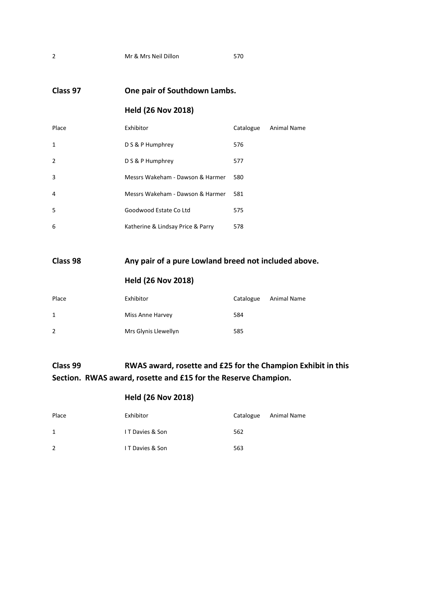**Class 97 One pair of Southdown Lambs.**

# **Held (26 Nov 2018)**

| Place          | Exhibitor                         | Catalogue | Animal Name |
|----------------|-----------------------------------|-----------|-------------|
| 1              | D S & P Humphrey                  | 576       |             |
| $\overline{2}$ | D S & P Humphrey                  | 577       |             |
| 3              | Messrs Wakeham - Dawson & Harmer  | 580       |             |
| $\overline{4}$ | Messrs Wakeham - Dawson & Harmer  | 581       |             |
| -5             | Goodwood Estate Co Ltd            | 575       |             |
| 6              | Katherine & Lindsay Price & Parry | 578       |             |

# **Class 98 Any pair of a pure Lowland breed not included above.**

# **Held (26 Nov 2018)**

| Place        | Exhibitor            | Catalogue | Animal Name |
|--------------|----------------------|-----------|-------------|
| $\mathbf{1}$ | Miss Anne Harvey     | 584       |             |
| 2            | Mrs Glynis Llewellyn | 585       |             |

# **Class 99 RWAS award, rosette and £25 for the Champion Exhibit in this Section. RWAS award, rosette and £15 for the Reserve Champion.**

| Place | Exhibitor                  | Catalogue | Animal Name |
|-------|----------------------------|-----------|-------------|
| 1     | <b>IT Davies &amp; Son</b> | 562       |             |
| 2     | <b>IT Davies &amp; Son</b> | 563       |             |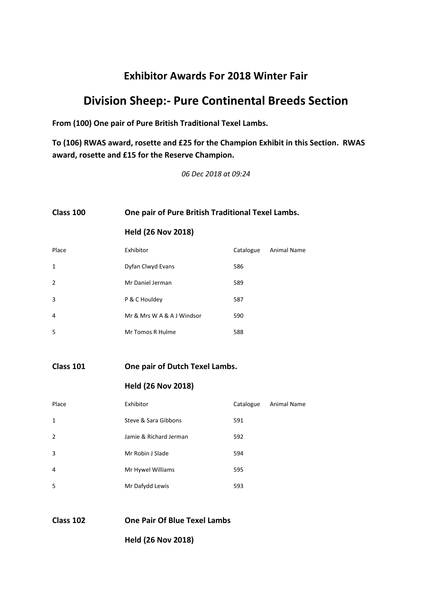# **Division Sheep:- Pure Continental Breeds Section**

**From (100) One pair of Pure British Traditional Texel Lambs.**

**To (106) RWAS award, rosette and £25 for the Champion Exhibit in this Section. RWAS award, rosette and £15 for the Reserve Champion.**

*06 Dec 2018 at 09:24*

### **Class 100 One pair of Pure British Traditional Texel Lambs.**

**Held (26 Nov 2018)**

| Place          | Exhibitor                  | Catalogue | Animal Name |
|----------------|----------------------------|-----------|-------------|
| 1              | Dyfan Clwyd Evans          | 586       |             |
| $\overline{2}$ | Mr Daniel Jerman           | 589       |             |
| 3              | P & C Houldey              | 587       |             |
| $\overline{4}$ | Mr & Mrs W A & A J Windsor | 590       |             |
| 5              | Mr Tomos R Hulme           | 588       |             |

**Class 101 One pair of Dutch Texel Lambs.**

#### **Held (26 Nov 2018)**

| Place          | Exhibitor              | Catalogue | <b>Animal Name</b> |
|----------------|------------------------|-----------|--------------------|
| 1              | Steve & Sara Gibbons   | 591       |                    |
| $\overline{2}$ | Jamie & Richard Jerman | 592       |                    |
| 3              | Mr Robin J Slade       | 594       |                    |
| 4              | Mr Hywel Williams      | 595       |                    |
| .5             | Mr Dafydd Lewis        | 593       |                    |

#### **Class 102 One Pair Of Blue Texel Lambs**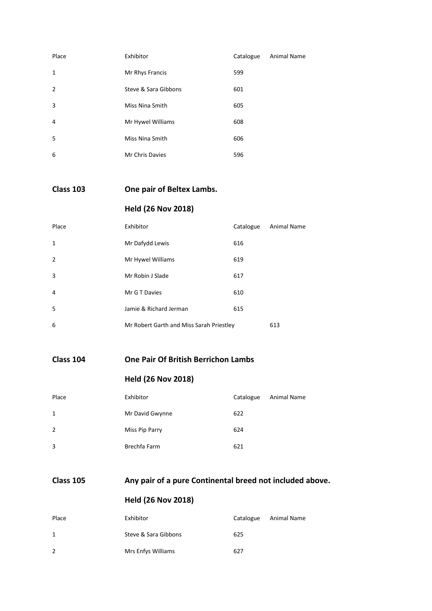| Place          | Exhibitor            | Catalogue | <b>Animal Name</b> |
|----------------|----------------------|-----------|--------------------|
| $\mathbf{1}$   | Mr Rhys Francis      | 599       |                    |
| $\overline{2}$ | Steve & Sara Gibbons | 601       |                    |
| 3              | Miss Nina Smith      | 605       |                    |
| 4              | Mr Hywel Williams    | 608       |                    |
| .5             | Miss Nina Smith      | 606       |                    |
| 6              | Mr Chris Davies      | 596       |                    |

**Class 103 One pair of Beltex Lambs.**

# **Held (26 Nov 2018)**

| Place          | Exhibitor                                | Catalogue | Animal Name |
|----------------|------------------------------------------|-----------|-------------|
| 1              | Mr Dafydd Lewis                          | 616       |             |
| $\overline{2}$ | Mr Hywel Williams                        | 619       |             |
| 3              | Mr Robin J Slade                         | 617       |             |
| 4              | Mr G T Davies                            | 610       |             |
| .5             | Jamie & Richard Jerman                   | 615       |             |
| 6              | Mr Robert Garth and Miss Sarah Priestley |           | 613         |

**Class 104 One Pair Of British Berrichon Lambs**

# **Held (26 Nov 2018)**

| Place          | Exhibitor       | Catalogue | Animal Name |
|----------------|-----------------|-----------|-------------|
| $\mathbf{1}$   | Mr David Gwynne | 622       |             |
| $\overline{2}$ | Miss Pip Parry  | 624       |             |
| 3              | Brechfa Farm    | 621       |             |

# **Class 105 Any pair of a pure Continental breed not included above.**

| Place | Exhibitor            | Catalogue | <b>Animal Name</b> |
|-------|----------------------|-----------|--------------------|
| 1     | Steve & Sara Gibbons | 625       |                    |
| 2     | Mrs Enfys Williams   | 627       |                    |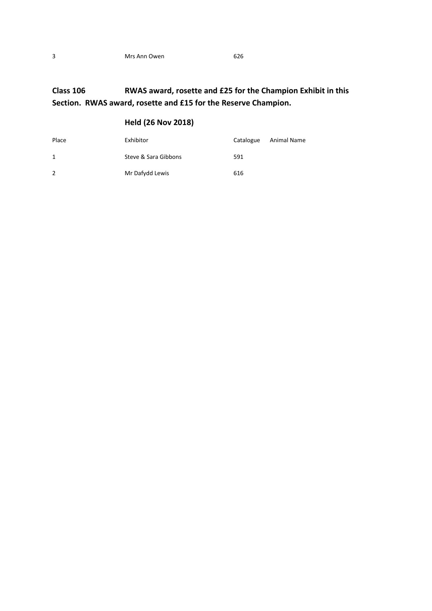# **Class 106 RWAS award, rosette and £25 for the Champion Exhibit in this Section. RWAS award, rosette and £15 for the Reserve Champion.**

| Place | Exhibitor            | Catalogue | Animal Name |
|-------|----------------------|-----------|-------------|
| 1     | Steve & Sara Gibbons | 591       |             |
| 2     | Mr Dafydd Lewis      | 616       |             |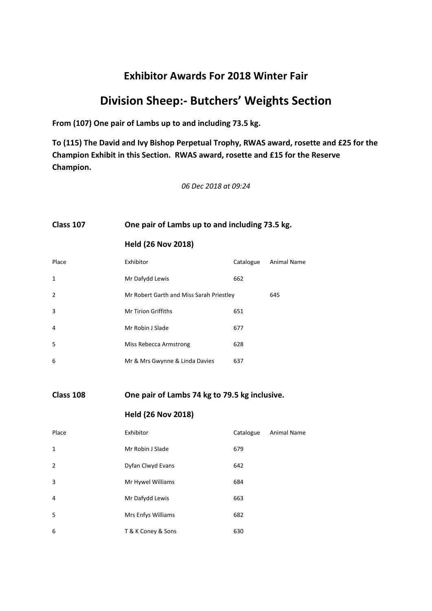# **Division Sheep:- Butchers' Weights Section**

**From (107) One pair of Lambs up to and including 73.5 kg.**

**To (115) The David and Ivy Bishop Perpetual Trophy, RWAS award, rosette and £25 for the Champion Exhibit in this Section. RWAS award, rosette and £15 for the Reserve Champion.**

*06 Dec 2018 at 09:24*

# **Class 107 One pair of Lambs up to and including 73.5 kg.**

**Held (26 Nov 2018)**

| Place          | Exhibitor                                | Catalogue | <b>Animal Name</b> |
|----------------|------------------------------------------|-----------|--------------------|
| $\mathbf{1}$   | Mr Dafydd Lewis                          | 662       |                    |
| $\overline{2}$ | Mr Robert Garth and Miss Sarah Priestley |           | 645                |
| 3              | <b>Mr Tirion Griffiths</b>               | 651       |                    |
| 4              | Mr Robin J Slade                         | 677       |                    |
| 5              | Miss Rebecca Armstrong                   | 628       |                    |
| 6              | Mr & Mrs Gwynne & Linda Davies           | 637       |                    |

**Class 108 One pair of Lambs 74 kg to 79.5 kg inclusive.**

| Place          | Exhibitor          | Catalogue | <b>Animal Name</b> |
|----------------|--------------------|-----------|--------------------|
| 1              | Mr Robin J Slade   | 679       |                    |
| $\overline{2}$ | Dyfan Clwyd Evans  | 642       |                    |
| 3              | Mr Hywel Williams  | 684       |                    |
| $\overline{4}$ | Mr Dafydd Lewis    | 663       |                    |
| 5              | Mrs Enfys Williams | 682       |                    |
| 6              | T & K Coney & Sons | 630       |                    |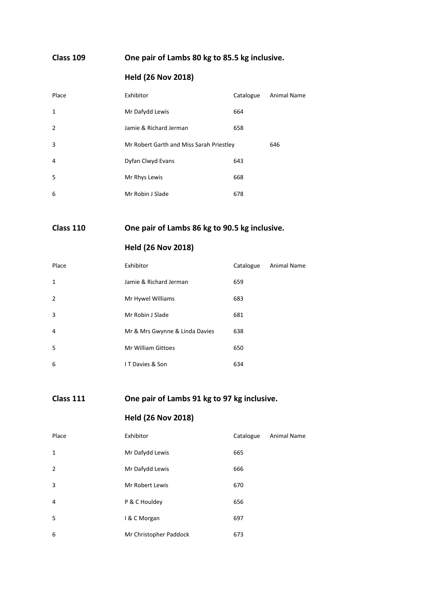# **Class 109 One pair of Lambs 80 kg to 85.5 kg inclusive.**

# **Held (26 Nov 2018)**

| Place          | Exhibitor                                | Catalogue | Animal Name |
|----------------|------------------------------------------|-----------|-------------|
| $\mathbf{1}$   | Mr Dafydd Lewis                          | 664       |             |
| $\overline{2}$ | Jamie & Richard Jerman                   | 658       |             |
| 3              | Mr Robert Garth and Miss Sarah Priestley |           | 646         |
| 4              | Dyfan Clwyd Evans                        | 643       |             |
| -5             | Mr Rhys Lewis                            | 668       |             |
| 6              | Mr Robin J Slade                         | 678       |             |

# **Class 110 One pair of Lambs 86 kg to 90.5 kg inclusive.**

# **Held (26 Nov 2018)**

| Place          | Exhibitor                      | Catalogue | <b>Animal Name</b> |
|----------------|--------------------------------|-----------|--------------------|
| 1              | Jamie & Richard Jerman         | 659       |                    |
| $\overline{2}$ | Mr Hywel Williams              | 683       |                    |
| 3              | Mr Robin J Slade               | 681       |                    |
| 4              | Mr & Mrs Gwynne & Linda Davies | 638       |                    |
| 5              | Mr William Gittoes             | 650       |                    |
| 6              | IT Davies & Son                | 634       |                    |

# **Class 111 One pair of Lambs 91 kg to 97 kg inclusive.**

| Place         | Exhibitor              | Catalogue | <b>Animal Name</b> |
|---------------|------------------------|-----------|--------------------|
| $\mathbf{1}$  | Mr Dafydd Lewis        | 665       |                    |
| $\mathcal{P}$ | Mr Dafydd Lewis        | 666       |                    |
| 3             | Mr Robert Lewis        | 670       |                    |
| 4             | P & C Houldey          | 656       |                    |
| 5             | I & C Morgan           | 697       |                    |
| 6             | Mr Christopher Paddock | 673       |                    |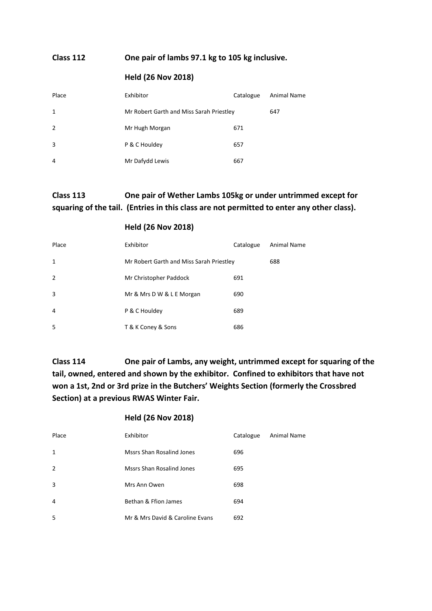#### **Class 112 One pair of lambs 97.1 kg to 105 kg inclusive.**

#### **Held (26 Nov 2018)**

| Place          | Exhibitor                                | Catalogue | Animal Name |
|----------------|------------------------------------------|-----------|-------------|
| $\mathbf{1}$   | Mr Robert Garth and Miss Sarah Priestley |           | 647         |
| $\overline{2}$ | Mr Hugh Morgan                           | 671       |             |
| 3              | P & C Houldey                            | 657       |             |
| 4              | Mr Dafydd Lewis                          | 667       |             |

# **Class 113 One pair of Wether Lambs 105kg or under untrimmed except for squaring of the tail. (Entries in this class are not permitted to enter any other class).**

#### **Held (26 Nov 2018)**

| Place          | Exhibitor                                | Catalogue | Animal Name |
|----------------|------------------------------------------|-----------|-------------|
| 1              | Mr Robert Garth and Miss Sarah Priestley |           | 688         |
| $\overline{2}$ | Mr Christopher Paddock                   | 691       |             |
| 3              | Mr & Mrs D W & L E Morgan                | 690       |             |
| $\overline{4}$ | P & C Houldey                            | 689       |             |
| 5              | T & K Coney & Sons                       | 686       |             |

**Class 114 One pair of Lambs, any weight, untrimmed except for squaring of the tail, owned, entered and shown by the exhibitor. Confined to exhibitors that have not won a 1st, 2nd or 3rd prize in the Butchers' Weights Section (formerly the Crossbred Section) at a previous RWAS Winter Fair.**

| Place          | Exhibitor                        | Catalogue | Animal Name |
|----------------|----------------------------------|-----------|-------------|
| $\mathbf{1}$   | <b>Mssrs Shan Rosalind Jones</b> | 696       |             |
| $\overline{2}$ | Mssrs Shan Rosalind Jones        | 695       |             |
| 3              | Mrs Ann Owen                     | 698       |             |
| 4              | Bethan & Ffion James             | 694       |             |
| 5              | Mr & Mrs David & Caroline Evans  | 692       |             |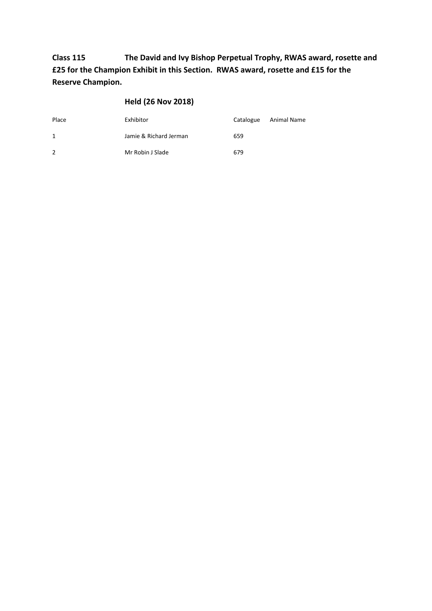**Class 115 The David and Ivy Bishop Perpetual Trophy, RWAS award, rosette and £25 for the Champion Exhibit in this Section. RWAS award, rosette and £15 for the Reserve Champion.**

| Place         | Exhibitor              | Catalogue | Animal Name |
|---------------|------------------------|-----------|-------------|
| 1             | Jamie & Richard Jerman | 659       |             |
| $\mathcal{P}$ | Mr Robin J Slade       | 679       |             |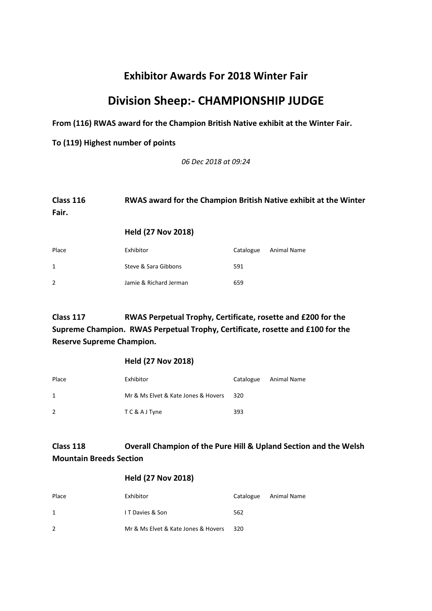# **Division Sheep:- CHAMPIONSHIP JUDGE**

**From (116) RWAS award for the Champion British Native exhibit at the Winter Fair.**

**To (119) Highest number of points**

*06 Dec 2018 at 09:24*

### **Class 116 RWAS award for the Champion British Native exhibit at the Winter Fair.**

#### **Held (27 Nov 2018)**

| Place | Exhibitor              | Catalogue | Animal Name |
|-------|------------------------|-----------|-------------|
| 1     | Steve & Sara Gibbons   | 591       |             |
| 2     | Jamie & Richard Jerman | 659       |             |

# **Class 117 RWAS Perpetual Trophy, Certificate, rosette and £200 for the Supreme Champion. RWAS Perpetual Trophy, Certificate, rosette and £100 for the Reserve Supreme Champion.**

#### **Held (27 Nov 2018)**

| Place | Exhibitor                           | Catalogue | Animal Name |
|-------|-------------------------------------|-----------|-------------|
| 1     | Mr & Ms Elvet & Kate Jones & Hovers | -320      |             |
| 2     | TC&AJTyne                           | 393       |             |

# **Class 118 Overall Champion of the Pure Hill & Upland Section and the Welsh Mountain Breeds Section**

| Place          | Exhibitor                           |     | Catalogue Animal Name |
|----------------|-------------------------------------|-----|-----------------------|
| 1              | I T Davies & Son                    | 562 |                       |
| $\overline{2}$ | Mr & Ms Elvet & Kate Jones & Hovers | 320 |                       |